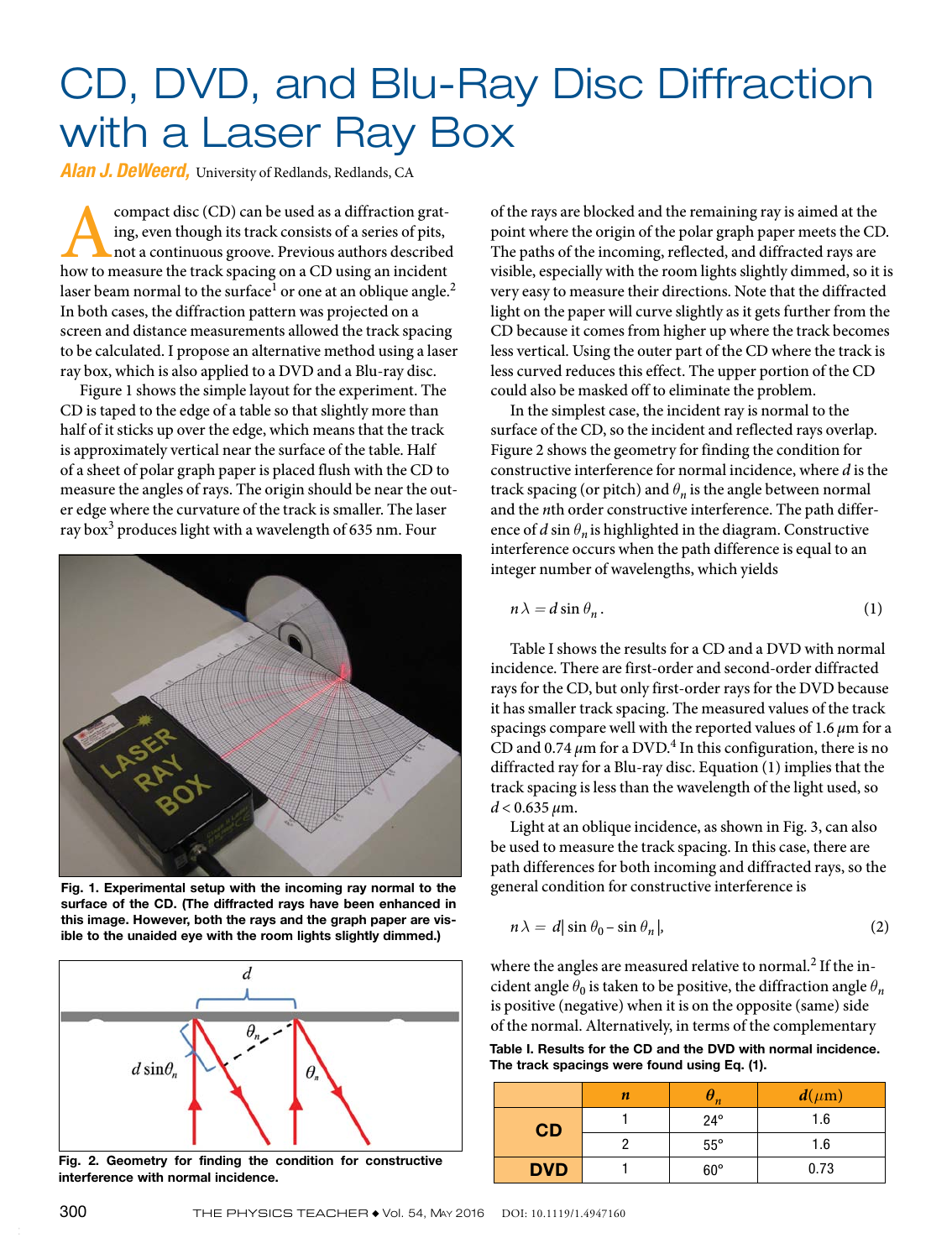## CD, DVD, and Blu-Ray Disc Diffraction with a Laser Ray Box

*Alan J. DeWeerd,* University of Redlands, Redlands, CA

**Example 1** compact disc (CD) can be used as a diffraction grating, even though its track consists of a series of pits, not a continuous groove. Previous authors described how to measure the track spacing on a CD using an ing, even though its track consists of a series of pits, not a continuous groove. Previous authors described laser beam normal to the surface<sup>1</sup> or one at an oblique angle.<sup>2</sup> In both cases, the diffraction pattern was projected on a screen and distance measurements allowed the track spacing to be calculated. I propose an alternative method using a laser ray box, which is also applied to a DVD and a Blu-ray disc.

Figure 1 shows the simple layout for the experiment. The CD is taped to the edge of a table so that slightly more than half of it sticks up over the edge, which means that the track is approximately vertical near the surface of the table. Half of a sheet of polar graph paper is placed flush with the CD to measure the angles of rays. The origin should be near the outer edge where the curvature of the track is smaller. The laser ray box<sup>3</sup> produces light with a wavelength of 635 nm. Four



Fig. 1. Experimental setup with the incoming ray normal to the surface of the CD. (The diffracted rays have been enhanced in this image. However, both the rays and the graph paper are visible to the unaided eye with the room lights slightly dimmed.)



Fig. 2. Geometry for finding the condition for constructive interference with normal incidence.

of the rays are blocked and the remaining ray is aimed at the point where the origin of the polar graph paper meets the CD. The paths of the incoming, reflected, and diffracted rays are visible, especially with the room lights slightly dimmed, so it is very easy to measure their directions. Note that the diffracted light on the paper will curve slightly as it gets further from the CD because it comes from higher up where the track becomes less vertical. Using the outer part of the CD where the track is less curved reduces this effect. The upper portion of the CD could also be masked off to eliminate the problem.

In the simplest case, the incident ray is normal to the surface of the CD, so the incident and reflected rays overlap. Figure 2 shows the geometry for finding the condition for constructive interference for normal incidence, where *d* is the track spacing (or pitch) and  $\theta_n$  is the angle between normal and the *n*th order constructive interference. The path difference of  $d \sin \theta_n$  is highlighted in the diagram. Constructive interference occurs when the path difference is equal to an integer number of wavelengths, which yields

$$
n\lambda = d\sin\theta_n. \tag{1}
$$

Table I shows the results for a CD and a DVD with normal incidence. There are first-order and second-order diffracted rays for the CD, but only first-order rays for the DVD because it has smaller track spacing. The measured values of the track spacings compare well with the reported values of 1.6 *μ*m for a CD and  $0.74 \mu m$  for a DVD.<sup>4</sup> In this configuration, there is no diffracted ray for a Blu-ray disc. Equation (1) implies that the track spacing is less than the wavelength of the light used, so *d* < 0.635 *μ*m.

Light at an oblique incidence, as shown in Fig. 3, can also be used to measure the track spacing. In this case, there are path differences for both incoming and diffracted rays, so the general condition for constructive interference is

$$
n\lambda = d|\sin\theta_0 - \sin\theta_n|,\tag{2}
$$

where the angles are measured relative to normal.<sup>2</sup> If the incident angle  $\theta_0$  is taken to be positive, the diffraction angle  $\theta_n$ is positive (negative) when it is on the opposite (same) side of the normal. Alternatively, in terms of the complementary

Table I. Results for the CD and the DVD with normal incidence. The track spacings were found using Eq. (1).

|            | n | $\boldsymbol{\eta}$ | $d(\mu m)$ |
|------------|---|---------------------|------------|
| CD         |   | $24^{\circ}$        | 1.6        |
|            |   | $55^{\circ}$        | 1.6        |
| <b>DVD</b> |   | $60^\circ$          | 0.73       |